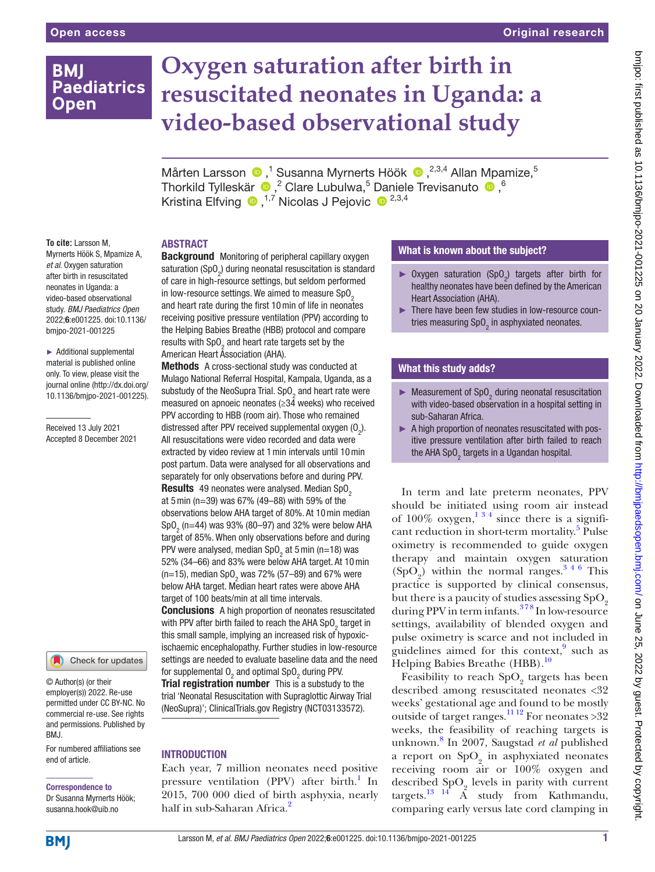# **BMI Paediatrics Open**

# **Oxygen saturation after birth in resuscitated neonates in Uganda: a video-based observational study**

MårtenLarsson <sup>®</sup>,<sup>1</sup> Susanna Myrnerts Höök <sup>®</sup>,<sup>2,3,4</sup> Allan Mpamize,<sup>5</sup> ThorkildTylleskär  $\bigcirc$ , <sup>2</sup> Clare Lubulwa, <sup>5</sup> Daniele Trevisanuto  $\bigcirc$ , <sup>6</sup> Kristina Elfving  $\bullet$ ,<sup>1,7</sup> Nicolas J Pejovic  $\bullet$ <sup>2,3,4</sup>

### ABSTRACT

**To cite:** Larsson M, Myrnerts Höök S, Mpamize A, *et al*. Oxygen saturation after birth in resuscitated neonates in Uganda: a video-based observational study. *BMJ Paediatrics Open* 2022;6:e001225. doi:10.1136/ bmjpo-2021-001225

► Additional supplemental material is published online only. To view, please visit the journal online ([http://dx.doi.org/](http://dx.doi.org/10.1136/bmjpo-2021-001225) [10.1136/bmjpo-2021-001225\)](http://dx.doi.org/10.1136/bmjpo-2021-001225).

Received 13 July 2021 Accepted 8 December 2021

Check for updates

© Author(s) (or their employer(s)) 2022. Re-use permitted under CC BY-NC. No commercial re-use. See rights and permissions. Published by BMJ.

For numbered affiliations see end of article.

# Correspondence to

Dr Susanna Myrnerts Höök; susanna.hook@uib.no

**Background** Monitoring of peripheral capillary oxygen saturation (SpO $_{\textrm{\tiny{2}}}$ ) during neonatal resuscitation is standard of care in high-resource settings, but seldom performed in low-resource settings. We aimed to measure  $SpO<sub>2</sub>$ and heart rate during the first 10min of life in neonates receiving positive pressure ventilation (PPV) according to the Helping Babies Breathe (HBB) protocol and compare results with  $\text{SpO}_2$  and heart rate targets set by the American Heart Association (AHA).

Methods A cross-sectional study was conducted at Mulago National Referral Hospital, Kampala, Uganda, as a substudy of the NeoSupra Trial. SpO<sub>2</sub> and heart rate were measured on apnoeic neonates (≥34 weeks) who received PPV according to HBB (room air). Those who remained distressed after PPV received supplemental oxygen  $(0<sub>2</sub>)$ . All resuscitations were video recorded and data were extracted by video review at 1min intervals until 10min post partum. Data were analysed for all observations and separately for only observations before and during PPV. Results 49 neonates were analysed. Median SpO<sub>2</sub> at 5min (n=39) was 67% (49–88) with 59% of the observations below AHA target of 80%. At 10min median SpO<sub>2</sub> (n=44) was 93% (80–97) and 32% were below AHA target of 85%. When only observations before and during PPV were analysed, median SpO<sub>2</sub> at 5 min (n=18) was 52% (34–66) and 83% were below AHA target. At 10min (n=15), median SpO<sub>2</sub> was 72% (57–89) and 67% were below AHA target. Median heart rates were above AHA target of 100 beats/min at all time intervals. **Conclusions** A high proportion of neonates resuscitated with PPV after birth failed to reach the AHA SpO<sub>2</sub> target in

this small sample, implying an increased risk of hypoxicischaemic encephalopathy. Further studies in low-resource settings are needed to evaluate baseline data and the need for supplemental  $0<sub>2</sub>$  and optimal Sp $0<sub>2</sub>$  during PPV. **Trial registration number** This is a substudy to the trial 'Neonatal Resuscitation with Supraglottic Airway Trial (NeoSupra)'; ClinicalTrials.gov Registry [\(NCT03133572\)](NCT03133572).

## **INTRODUCTION**

Each year, 7 million neonates need positive pressure ventilation (PPV) after birth.<sup>[1](#page-6-0)</sup> In 2015, 700 000 died of birth asphyxia, nearly half in sub-Saharan Africa.<sup>[2](#page-6-1)</sup>

# What is known about the subject?

- ► Oxygen saturation  $(Sp0<sub>2</sub>)$  targets after birth for healthy neonates have been defined by the American Heart Association (AHA).
- ► There have been few studies in low-resource countries measuring SpO<sub>2</sub> in asphyxiated neonates.

# What this study adds?

- $\blacktriangleright$  Measurement of SpO<sub>2</sub> during neonatal resuscitation with video-based observation in a hospital setting in sub-Saharan Africa.
- ► A high proportion of neonates resuscitated with positive pressure ventilation after birth failed to reach the AHA SpO $_2^{}$  targets in a Ugandan hospital.

In term and late preterm neonates, PPV should be initiated using room air instead of  $100\%$  oxygen,  $1^{3/4}$  since there is a signifi-cant reduction in short-term mortality.<sup>[5](#page-6-2)</sup> Pulse oximetry is recommended to guide oxygen therapy and maintain oxygen saturation  $(SpO<sub>2</sub>)$  within the normal ranges.<sup>346</sup> This practice is supported by clinical consensus, but there is a paucity of studies assessing  $SpO<sub>2</sub>$ during PPV in term infants.<sup>378</sup> In low-resource settings, availability of blended oxygen and pulse oximetry is scarce and not included in guidelines aimed for this context, $9$  such as Helping Babies Breathe (HBB).<sup>[10](#page-6-5)</sup>

Feasibility to reach  $\mathrm{SpO}_2$  targets has been described among resuscitated neonates <32 weeks' gestational age and found to be mostly outside of target ranges.<sup>[11 12](#page-6-6)</sup> For neonates >32 weeks, the feasibility of reaching targets is unknown.[8](#page-6-7) In 2007, Saugstad *et al* published a report on  $SpO<sub>2</sub>$  in asphyxiated neonates receiving room air or 100% oxygen and described  $\text{SpO}_2$  levels in parity with current targets.<sup>[13 14](#page-6-8)</sup>  $\AA$  study from Kathmandu, comparing early versus late cord clamping in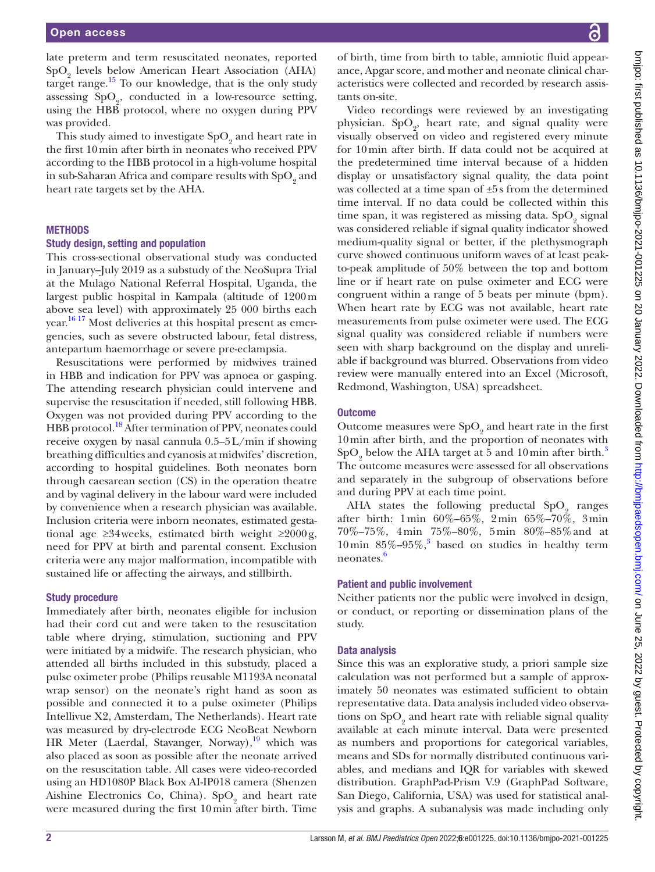late preterm and term resuscitated neonates, reported  $SpO<sub>2</sub>$  levels below American Heart Association (AHA) target range.<sup>15</sup> To our knowledge, that is the only study assessing  $SpO<sub>2</sub>$ , conducted in a low-resource setting, using the HBB protocol, where no oxygen during PPV was provided.

This study aimed to investigate  $\mathrm{SpO}_2$  and heart rate in the first 10min after birth in neonates who received PPV according to the HBB protocol in a high-volume hospital in sub-Saharan Africa and compare results with  $\mathrm{SpO}_2$  and heart rate targets set by the AHA.

#### **METHODS**

#### Study design, setting and population

This cross-sectional observational study was conducted in January–July 2019 as a substudy of the NeoSupra Trial at the Mulago National Referral Hospital, Uganda, the largest public hospital in Kampala (altitude of 1200m above sea level) with approximately 25 000 births each year.<sup>16 17</sup> Most deliveries at this hospital present as emergencies, such as severe obstructed labour, fetal distress, antepartum haemorrhage or severe pre-eclampsia.

Resuscitations were performed by midwives trained in HBB and indication for PPV was apnoea or gasping. The attending research physician could intervene and supervise the resuscitation if needed, still following HBB. Oxygen was not provided during PPV according to the HBB protocol.<sup>[18](#page-6-11)</sup> After termination of PPV, neonates could receive oxygen by nasal cannula 0.5–5L/min if showing breathing difficulties and cyanosis at midwifes' discretion, according to hospital guidelines. Both neonates born through caesarean section (CS) in the operation theatre and by vaginal delivery in the labour ward were included by convenience when a research physician was available. Inclusion criteria were inborn neonates, estimated gestational age  $\geq 34$  weeks, estimated birth weight  $\geq 2000$  g, need for PPV at birth and parental consent. Exclusion criteria were any major malformation, incompatible with sustained life or affecting the airways, and stillbirth.

#### Study procedure

Immediately after birth, neonates eligible for inclusion had their cord cut and were taken to the resuscitation table where drying, stimulation, suctioning and PPV were initiated by a midwife. The research physician, who attended all births included in this substudy, placed a pulse oximeter probe (Philips reusable M1193A neonatal wrap sensor) on the neonate's right hand as soon as possible and connected it to a pulse oximeter (Philips Intellivue X2, Amsterdam, The Netherlands). Heart rate was measured by dry-electrode ECG NeoBeat Newborn HR Meter (Laerdal, Stavanger, Norway), $\frac{19}{19}$  which was also placed as soon as possible after the neonate arrived on the resuscitation table. All cases were video-recorded using an HD1080P Black Box AI-IP018 camera (Shenzen Aishine Electronics Co, China).  $SpO<sub>2</sub>$  and heart rate were measured during the first 10min after birth. Time

of birth, time from birth to table, amniotic fluid appearance, Apgar score, and mother and neonate clinical characteristics were collected and recorded by research assistants on-site.

Video recordings were reviewed by an investigating physician.  $SpO<sub>2</sub>$ , heart rate, and signal quality were visually observed on video and registered every minute for 10min after birth. If data could not be acquired at the predetermined time interval because of a hidden display or unsatisfactory signal quality, the data point was collected at a time span of ±5s from the determined time interval. If no data could be collected within this time span, it was registered as missing data.  $\mathrm{SpO}_2$  signal was considered reliable if signal quality indicator showed medium-quality signal or better, if the plethysmograph curve showed continuous uniform waves of at least peakto-peak amplitude of 50% between the top and bottom line or if heart rate on pulse oximeter and ECG were congruent within a range of 5 beats per minute (bpm). When heart rate by ECG was not available, heart rate measurements from pulse oximeter were used. The ECG signal quality was considered reliable if numbers were seen with sharp background on the display and unreliable if background was blurred. Observations from video review were manually entered into an Excel (Microsoft, Redmond, Washington, USA) spreadsheet.

#### **Outcome**

Outcome measures were  $\text{SpO}_2$  and heart rate in the first 10min after birth, and the proportion of neonates with  $SpO<sub>2</sub>$  below the AHA target at 5 and 10 min after birth.<sup>[3](#page-6-3)</sup> The outcome measures were assessed for all observations and separately in the subgroup of observations before and during PPV at each time point.

AHA states the following preductal  $SpO<sub>2</sub>$  ranges after birth: 1min 60%–65%, 2min 65%–70%, 3min 70%–75%, 4min 75%–80%, 5min 80%–85%and at 10 min  $85\% - 95\%$ , based on studies in healthy term neonates.[6](#page-6-13)

#### Patient and public involvement

Neither patients nor the public were involved in design, or conduct, or reporting or dissemination plans of the study.

#### Data analysis

Since this was an explorative study, a priori sample size calculation was not performed but a sample of approximately 50 neonates was estimated sufficient to obtain representative data. Data analysis included video observations on  $\mathrm{SpO}_2$  and heart rate with reliable signal quality available at each minute interval. Data were presented as numbers and proportions for categorical variables, means and SDs for normally distributed continuous variables, and medians and IQR for variables with skewed distribution. GraphPad-Prism V.9 (GraphPad Software, San Diego, California, USA) was used for statistical analysis and graphs. A subanalysis was made including only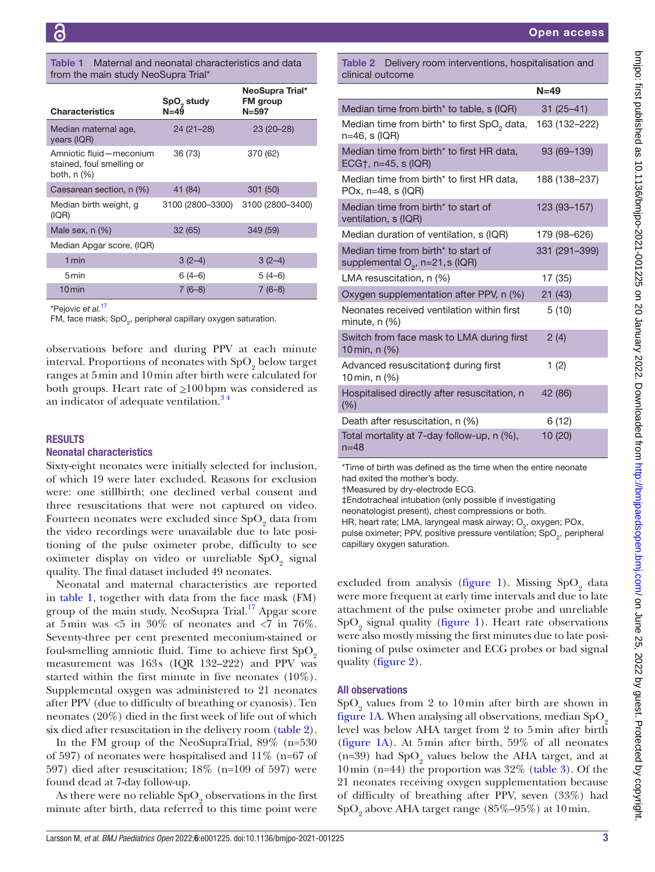#### <span id="page-2-0"></span>Table 1 Maternal and neonatal characteristics and data from the main study NeoSupra Trial\*

| <b>Characteristics</b>                                              | SpO <sub>2</sub> study<br>$N = 49$ | NeoSupra Trial*<br><b>FM</b> group<br>$N = 597$ |
|---------------------------------------------------------------------|------------------------------------|-------------------------------------------------|
| Median maternal age,<br>years (IQR)                                 | $24(21-28)$                        | $23(20-28)$                                     |
| Amniotic fluid-meconium<br>stained, foul smelling or<br>both, n (%) | 36 (73)                            | 370 (62)                                        |
| Caesarean section, n (%)                                            | 41 (84)                            | 301 (50)                                        |
| Median birth weight, g<br>(IQR)                                     | 3100 (2800-3300)                   | 3100 (2800-3400)                                |
| Male sex, n (%)                                                     | 32 (65)                            | 349 (59)                                        |
| Median Apgar score, (IQR)                                           |                                    |                                                 |
| 1 min                                                               | $3(2-4)$                           | $3(2-4)$                                        |
| 5 min                                                               | $6(4-6)$                           | $5(4-6)$                                        |
| $10$ min                                                            | $7(6-8)$                           | $7(6-8)$                                        |

\*Pejovic *et al.*[17](#page-6-14)

FM, face mask; SpO<sub>2</sub>, peripheral capillary oxygen saturation.

observations before and during PPV at each minute interval. Proportions of neonates with  $\text{SpO}_2$  below target ranges at 5min and 10min after birth were calculated for both groups. Heart rate of  $\geq 100$  bpm was considered as an indicator of adequate ventilation.<sup>34</sup>

#### RESULTS

#### Neonatal characteristics

Sixty-eight neonates were initially selected for inclusion, of which 19 were later excluded. Reasons for exclusion were: one stillbirth; one declined verbal consent and three resuscitations that were not captured on video. Fourteen neonates were excluded since  $\mathrm{SpO}_2$  data from the video recordings were unavailable due to late positioning of the pulse oximeter probe, difficulty to see oximeter display on video or unreliable  $\mathrm{SpO}_2$  signal quality. The final dataset included 49 neonates.

Neonatal and maternal characteristics are reported in [table](#page-2-0) 1, together with data from the face mask (FM) group of the main study, NeoSupra Trial.<sup>17</sup> Apgar score at 5 min was  $<5$  in 30% of neonates and  $<7$  in 76%. Seventy-three per cent presented meconium-stained or foul-smelling amniotic fluid. Time to achieve first  $SpO<sub>2</sub>$ measurement was 163s (IQR 132–222) and PPV was started within the first minute in five neonates (10%). Supplemental oxygen was administered to 21 neonates after PPV (due to difficulty of breathing or cyanosis). Ten neonates (20%) died in the first week of life out of which six died after resuscitation in the delivery room [\(table](#page-2-1) 2).

In the FM group of the NeoSupraTrial, 89% (n=530 of 597) of neonates were hospitalised and 11% (n=67 of 597) died after resuscitation; 18% (n=109 of 597) were found dead at 7-day follow-up.

As there were no reliable  $\mathrm{SpO}_2$  observations in the first minute after birth, data referred to this time point were

<span id="page-2-1"></span>Table 2 Delivery room interventions, hospitalisation and clinical outcome

|                                                                           | $N=49$        |
|---------------------------------------------------------------------------|---------------|
| Median time from birth <sup>*</sup> to table, s (IQR)                     | $31(25 - 41)$ |
| Median time from birth* to first SpO <sub>2</sub> data,<br>n=46, s (IQR)  | 163 (132-222) |
| Median time from birth* to first HR data,<br>ECG†, $n=45$ , s (IQR)       | 93 (69-139)   |
| Median time from birth* to first HR data,<br>POx, $n=48$ , s (IQR)        | 188 (138-237) |
| Median time from birth* to start of<br>ventilation, s (IQR)               | 123 (93-157)  |
| Median duration of ventilation, s (IQR)                                   | 179 (98–626)  |
| Median time from birth* to start of<br>supplemental $O_2$ , n=21, s (IQR) | 331 (291-399) |
| LMA resuscitation, $n$ (%)                                                | 17 (35)       |
| Oxygen supplementation after PPV, n (%)                                   | 21(43)        |
| Neonates received ventilation within first<br>minute, $n$ $(\%)$          | 5(10)         |
| Switch from face mask to LMA during first<br>10 min, n $(\%)$             | 2(4)          |
| Advanced resuscitation‡ during first<br>10 min, n (%)                     | 1(2)          |
| Hospitalised directly after resuscitation, n<br>(% )                      | 42 (86)       |
| Death after resuscitation, n (%)                                          | 6(12)         |
| Total mortality at 7-day follow-up, n (%),<br>$n = 48$                    | 10(20)        |

\*Time of birth was defined as the time when the entire neonate had exited the mother's body.

†Measured by dry-electrode ECG.

‡Endotracheal intubation (only possible if investigating

neonatologist present), chest compressions or both.

HR, heart rate; LMA, laryngeal mask airway; O<sub>2</sub>, oxygen; POx, pulse oximeter; PPV, positive pressure ventilation;  $SpO<sub>2</sub>$ , peripheral capillary oxygen saturation.

excluded from analysis ([figure](#page-3-0) 1). Missing  $SpO<sub>2</sub>$  data were more frequent at early time intervals and due to late attachment of the pulse oximeter probe and unreliable  $SpO<sub>2</sub>$  signal quality [\(figure](#page-3-0) 1). Heart rate observations were also mostly missing the first minutes due to late positioning of pulse oximeter and ECG probes or bad signal quality [\(figure](#page-3-1) 2).

#### All observations

 $\mathrm{SpO}_2$  values from 2 to 10 min after birth are shown in [figure](#page-3-0) 1A. When analysing all observations, median  $SpO<sub>2</sub>$ level was below AHA target from 2 to 5min after birth [\(figure](#page-3-0) 1A). At 5min after birth, 59% of all neonates (n=39) had  $SpO<sub>2</sub>$  values below the AHA target, and at 10 min (n=44) the proportion was  $32\%$  [\(table](#page-4-0) 3). Of the 21 neonates receiving oxygen supplementation because of difficulty of breathing after PPV, seven (33%) had  $\mathrm{SpO}_2$  above AHA target range (85%–95%) at  $10\,\mathrm{min.}$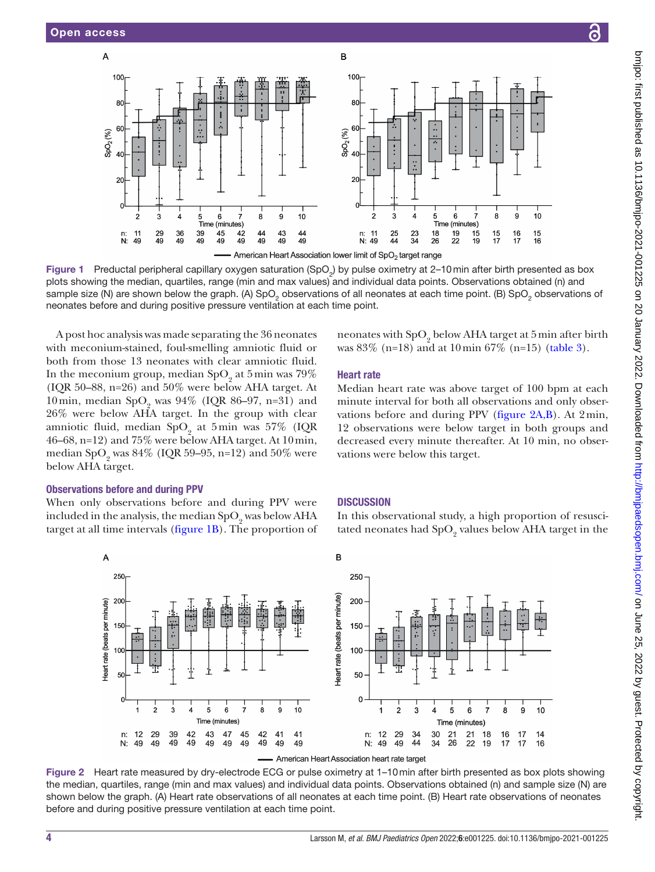$\overline{A}$ 



 $\overline{B}$ 

<span id="page-3-0"></span>American Heart Association lower limit of SpO<sub>2</sub> target range

Figure 1 Preductal peripheral capillary oxygen saturation (SpO<sub>2</sub>) by pulse oximetry at 2–10 min after birth presented as box plots showing the median, quartiles, range (min and max values) and individual data points. Observations obtained (n) and sample size (N) are shown below the graph. (A) SpO<sub>2</sub> observations of all neonates at each time point. (B) SpO<sub>2</sub> observations of neonates before and during positive pressure ventilation at each time point.

A post hoc analysis was made separating the 36 neonates with meconium-stained, foul-smelling amniotic fluid or both from those 13 neonates with clear amniotic fluid. In the meconium group, median  $SpO<sub>2</sub>$  at 5 min was 79% (IQR 50–88, n=26) and 50% were below AHA target. At 10 min, median  $SpO_2$  was 94% (IQR 86–97, n=31) and 26% were below AHA target. In the group with clear amniotic fluid, median  $SpO<sub>2</sub>$  at 5min was 57% (IQR 46–68, n=12) and 75% were below AHA target. At 10min, median SpO<sub>2</sub> was 84% (IQR 59–95, n=12) and 50% were below AHA target.

#### Observations before and during PPV

When only observations before and during PPV were included in the analysis, the median  $SpO_2$  was below AHA target at all time intervals ([figure](#page-3-0) 1B). The proportion of



### Heart rate

Median heart rate was above target of 100 bpm at each minute interval for both all observations and only observations before and during PPV [\(figure](#page-3-1) 2A,B). At 2min, 12 observations were below target in both groups and decreased every minute thereafter. At 10 min, no observations were below this target.

#### **DISCUSSION**

In this observational study, a high proportion of resuscitated neonates had  $\mathrm{SpO}_2$  values below AHA target in the



American Heart Association heart rate target

<span id="page-3-1"></span>Figure 2 Heart rate measured by dry-electrode ECG or pulse oximetry at 1–10min after birth presented as box plots showing the median, quartiles, range (min and max values) and individual data points. Observations obtained (n) and sample size (N) are shown below the graph. (A) Heart rate observations of all neonates at each time point. (B) Heart rate observations of neonates before and during positive pressure ventilation at each time point.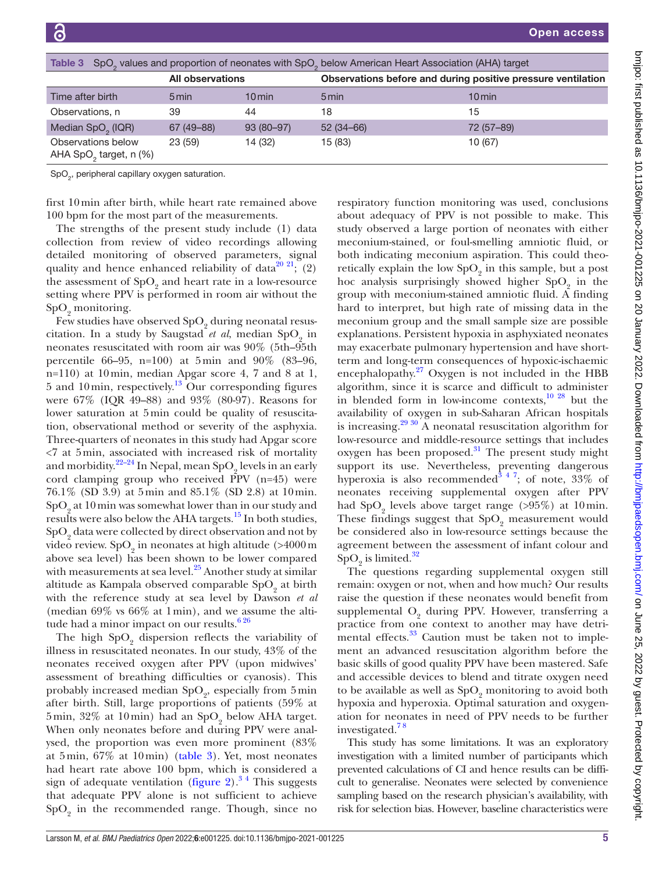<span id="page-4-0"></span>

| SpO <sub>2</sub> values and proportion of neonates with SpO <sub>2</sub> below American Heart Association (AHA) target<br>Table 3 |                         |             |                                                              |            |  |  |  |
|-----------------------------------------------------------------------------------------------------------------------------------|-------------------------|-------------|--------------------------------------------------------------|------------|--|--|--|
|                                                                                                                                   | <b>All observations</b> |             | Observations before and during positive pressure ventilation |            |  |  |  |
| Time after birth                                                                                                                  | 5 min                   | $10$ min    | 5 min                                                        | 10 min     |  |  |  |
| Observations, n                                                                                                                   | 39                      | 44          | 18                                                           | 15         |  |  |  |
| Median SpO <sub>2</sub> (IQR)                                                                                                     | 67 (49 - 88)            | $93(80-97)$ | $52(34-66)$                                                  | 72 (57-89) |  |  |  |
| Observations below<br>AHA SpO <sub>2</sub> target, n (%)                                                                          | 23(59)                  | 14 (32)     | 15 (83)                                                      | 10 (67)    |  |  |  |

 $\textsf{SpO}_2^{}$ , peripheral capillary oxygen saturation.

first 10min after birth, while heart rate remained above 100 bpm for the most part of the measurements.

The strengths of the present study include (1) data collection from review of video recordings allowing detailed monitoring of observed parameters, signal quality and hence enhanced reliability of data<sup>20 21</sup>; (2) the assessment of  $\mathrm{SpO}_2$  and heart rate in a low-resource setting where PPV is performed in room air without the  $SpO<sub>2</sub>$  monitoring.

Few studies have observed  $\mathrm{SpO}_2$  during neonatal resuscitation. In a study by Saugstad *et al*, median SpO<sub>2</sub> in neonates resuscitated with room air was 90% (5th–95th percentile 66–95, n=100) at 5min and 90% (83–96, n=110) at 10min, median Apgar score 4, 7 and 8 at 1, 5 and 10 min, respectively.<sup>13</sup> Our corresponding figures were 67% (IQR 49–88) and 93% (80-97). Reasons for lower saturation at 5min could be quality of resuscitation, observational method or severity of the asphyxia. Three-quarters of neonates in this study had Apgar score <7 at 5min, associated with increased risk of mortality and morbidity. $2^{2-24}$  In Nepal, mean  $SpO_2$  levels in an early cord clamping group who received  $\overline{P}PV$  (n=45) were 76.1% (SD 3.9) at 5min and 85.1% (SD 2.8) at 10min.  $\text{SpO}_2$  at 10 min was somewhat lower than in our study and results were also below the AHA targets.[15](#page-6-9) In both studies,  $\mathrm{SpO}_2$  data were collected by direct observation and not by video review. Sp $\text{O}_2^{}$  in neonates at high altitude (>4000 m above sea level) has been shown to be lower compared with measurements at sea level. $25$  Another study at similar altitude as Kampala observed comparable  $\mathrm{SpO}_2$  at birth with the reference study at sea level by Dawson *et al* (median 69% vs 66% at 1min), and we assume the altitude had a minor impact on our results. $626$ 

The high  $SpO<sub>2</sub>$  dispersion reflects the variability of illness in resuscitated neonates. In our study, 43% of the neonates received oxygen after PPV (upon midwives' assessment of breathing difficulties or cyanosis). This probably increased median  $SpO<sub>2</sub>$ , especially from 5 min after birth. Still, large proportions of patients (59% at  $5\,\mathrm{min},\,32\%$  at  $10\,\mathrm{min})$  had an  $\mathrm{SpO}_2$  below AHA target. When only neonates before and during PPV were analysed, the proportion was even more prominent (83% at 5min, 67% at 10min) ([table](#page-4-0) 3). Yet, most neonates had heart rate above 100 bpm, which is considered a sign of adequate ventilation ([figure](#page-3-1) 2).<sup>34</sup> This suggests that adequate PPV alone is not sufficient to achieve  $\mathrm{SpO}_2$  in the recommended range. Though, since no

respiratory function monitoring was used, conclusions about adequacy of PPV is not possible to make. This study observed a large portion of neonates with either meconium-stained, or foul-smelling amniotic fluid, or both indicating meconium aspiration. This could theoretically explain the low  $\mathrm{SpO}_2$  in this sample, but a post hoc analysis surprisingly showed higher  $SpO<sub>2</sub>$  in the group with meconium-stained amniotic fluid. A finding hard to interpret, but high rate of missing data in the meconium group and the small sample size are possible explanations. Persistent hypoxia in asphyxiated neonates may exacerbate pulmonary hypertension and have shortterm and long-term consequences of hypoxic-ischaemic encephalopathy.<sup>[27](#page-6-18)</sup> Oxygen is not included in the HBB algorithm, since it is scarce and difficult to administer in blended form in low-income contexts, $10^{28}$  but the availability of oxygen in sub-Saharan African hospitals is increasing.<sup>[29 30](#page-6-19)</sup> A neonatal resuscitation algorithm for low-resource and middle-resource settings that includes oxygen has been proposed. $31$  The present study might support its use. Nevertheless, preventing dangerous hyperoxia is also recommended<sup>3 4 7</sup>; of note, 33% of neonates receiving supplemental oxygen after PPV had  $SpO<sub>2</sub>$  levels above target range (>95%) at 10 min. These findings suggest that  $\mathrm{SpO}_2$  measurement would be considered also in low-resource settings because the agreement between the assessment of infant colour and  $\mathrm{SpO}_2$  is limited.<sup>[32](#page-6-21)</sup>

The questions regarding supplemental oxygen still remain: oxygen or not, when and how much? Our results raise the question if these neonates would benefit from supplemental  $O_2$  during PPV. However, transferring a practice from one context to another may have detrimental effects.<sup>33</sup> Caution must be taken not to implement an advanced resuscitation algorithm before the basic skills of good quality PPV have been mastered. Safe and accessible devices to blend and titrate oxygen need to be available as well as  $\mathrm{SpO}_2$  monitoring to avoid both hypoxia and hyperoxia. Optimal saturation and oxygenation for neonates in need of PPV needs to be further investigated[.7 8](#page-6-23)

This study has some limitations. It was an exploratory investigation with a limited number of participants which prevented calculations of CI and hence results can be difficult to generalise. Neonates were selected by convenience sampling based on the research physician's availability, with risk for selection bias. However, baseline characteristics were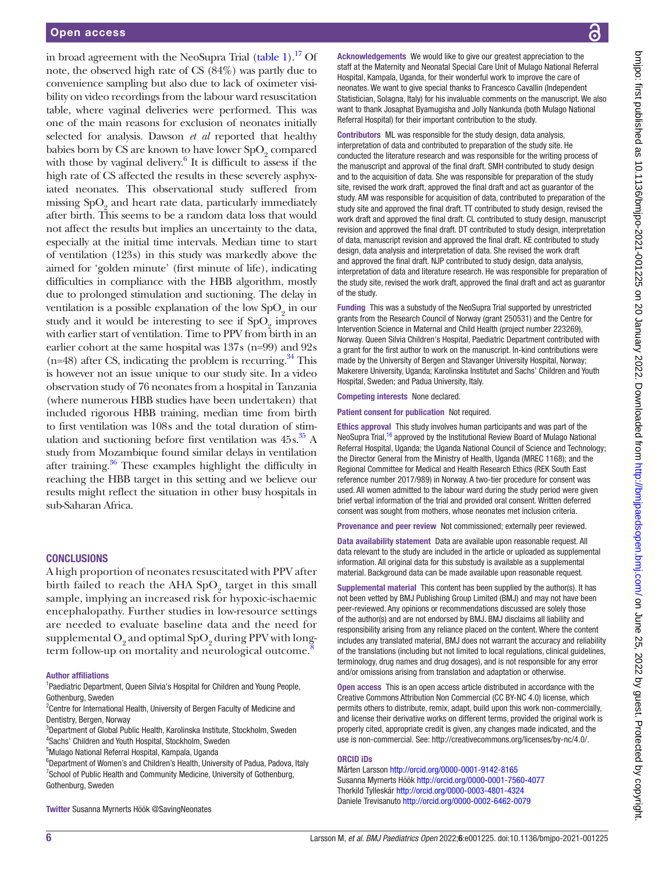in broad agreement with the NeoSupra Trial [\(table](#page-2-0) 1).<sup>17</sup> Of note, the observed high rate of CS (84%) was partly due to convenience sampling but also due to lack of oximeter visibility on video recordings from the labour ward resuscitation table, where vaginal deliveries were performed. This was one of the main reasons for exclusion of neonates initially selected for analysis. Dawson *et al* reported that healthy babies born by CS are known to have lower  $SpO<sub>2</sub>$  compared with those by vaginal delivery. $6$  It is difficult to assess if the high rate of CS affected the results in these severely asphyxiated neonates. This observational study suffered from missing  $\mathrm{SpO}_2$  and heart rate data, particularly immediately after birth. This seems to be a random data loss that would not affect the results but implies an uncertainty to the data, especially at the initial time intervals. Median time to start of ventilation (123s) in this study was markedly above the aimed for 'golden minute' (first minute of life), indicating difficulties in compliance with the HBB algorithm, mostly due to prolonged stimulation and suctioning. The delay in ventilation is a possible explanation of the low  $\mathrm{SpO}_2$  in our study and it would be interesting to see if  $SpO<sub>2</sub>$  improves with earlier start of ventilation. Time to PPV from birth in an earlier cohort at the same hospital was 137s (n=99) and 92s  $(n=48)$  after CS, indicating the problem is recurring.<sup>34</sup> This is however not an issue unique to our study site. In a video observation study of 76 neonates from a hospital in Tanzania (where numerous HBB studies have been undertaken) that included rigorous HBB training, median time from birth to first ventilation was 108s and the total duration of stimulation and suctioning before first ventilation was 45s. [35](#page-6-25) A study from Mozambique found similar delays in ventilation after training[.36](#page-6-26) These examples highlight the difficulty in reaching the HBB target in this setting and we believe our results might reflect the situation in other busy hospitals in sub-Saharan Africa.

#### **CONCLUSIONS**

A high proportion of neonates resuscitated with PPV after birth failed to reach the AHA  $\mathrm{SpO}_2$  target in this small sample, implying an increased risk for hypoxic-ischaemic encephalopathy. Further studies in low-resource settings are needed to evaluate baseline data and the need for  $\mathrm{supplemental}\, \mathrm{O}_2$  and  $\mathrm{optimal}\, \mathrm{SpO}_2$  during PPV with longterm follow-up on mortality and neurological outcome.<sup>8</sup>

#### Author affiliations

<sup>1</sup>Paediatric Department, Queen Silvia's Hospital for Children and Young People, Gothenburg, Sweden

<sup>2</sup> Centre for International Health, University of Bergen Faculty of Medicine and Dentistry, Bergen, Norway

3 Department of Global Public Health, Karolinska Institute, Stockholm, Sweden 4 Sachs' Children and Youth Hospital, Stockholm, Sweden

5 Mulago National Referral Hospital, Kampala, Uganda

<sup>6</sup>Department of Women's and Children's Health, University of Padua, Padova, Italy <sup>7</sup> School of Public Health and Community Medicine, University of Gothenburg, Gothenburg, Sweden

Twitter Susanna Myrnerts Höök [@SavingNeonates](https://twitter.com/SavingNeonates)

Acknowledgements We would like to give our greatest appreciation to the staff at the Maternity and Neonatal Special Care Unit of Mulago National Referral Hospital, Kampala, Uganda, for their wonderful work to improve the care of neonates. We want to give special thanks to Francesco Cavallin (Independent Statistician, Solagna, Italy) for his invaluable comments on the manuscript. We also want to thank Josaphat Byamugisha and Jolly Nankunda (both Mulago National Referral Hospital) for their important contribution to the study.

Contributors ML was responsible for the study design, data analysis. interpretation of data and contributed to preparation of the study site. He conducted the literature research and was responsible for the writing process of the manuscript and approval of the final draft. SMH contributed to study design and to the acquisition of data. She was responsible for preparation of the study site, revised the work draft, approved the final draft and act as guarantor of the study. AM was responsible for acquisition of data, contributed to preparation of the study site and approved the final draft. TT contributed to study design, revised the work draft and approved the final draft. CL contributed to study design, manuscript revision and approved the final draft. DT contributed to study design, interpretation of data, manuscript revision and approved the final draft. KE contributed to study design, data analysis and interpretation of data. She revised the work draft and approved the final draft. NJP contributed to study design, data analysis, interpretation of data and literature research. He was responsible for preparation of the study site, revised the work draft, approved the final draft and act as guarantor of the study.

Funding This was a substudy of the NeoSupra Trial supported by unrestricted grants from the Research Council of Norway (grant 250531) and the Centre for Intervention Science in Maternal and Child Health (project number 223269), Norway. Queen Silvia Children's Hospital, Paediatric Department contributed with a grant for the first author to work on the manuscript. In-kind contributions were made by the University of Bergen and Stavanger University Hospital, Norway; Makerere University, Uganda; Karolinska Institutet and Sachs' Children and Youth Hospital, Sweden; and Padua University, Italy.

Competing interests None declared.

Patient consent for publication Not required.

Ethics approval This study involves human participants and was part of the NeoSupra Trial,<sup>16</sup> approved by the Institutional Review Board of Mulago National Referral Hospital, Uganda; the Uganda National Council of Science and Technology; the Director General from the Ministry of Health, Uganda (MREC 1168); and the Regional Committee for Medical and Health Research Ethics (REK South East reference number 2017/989) in Norway. A two-tier procedure for consent was used. All women admitted to the labour ward during the study period were given brief verbal information of the trial and provided oral consent. Written deferred consent was sought from mothers, whose neonates met inclusion criteria.

Provenance and peer review Not commissioned; externally peer reviewed.

Data availability statement Data are available upon reasonable request. All data relevant to the study are included in the article or uploaded as supplemental information. All original data for this substudy is available as a supplemental material. Background data can be made available upon reasonable request.

Supplemental material This content has been supplied by the author(s). It has not been vetted by BMJ Publishing Group Limited (BMJ) and may not have been peer-reviewed. Any opinions or recommendations discussed are solely those of the author(s) and are not endorsed by BMJ. BMJ disclaims all liability and responsibility arising from any reliance placed on the content. Where the content includes any translated material, BMJ does not warrant the accuracy and reliability of the translations (including but not limited to local regulations, clinical guidelines, terminology, drug names and drug dosages), and is not responsible for any error and/or omissions arising from translation and adaptation or otherwise.

Open access This is an open access article distributed in accordance with the Creative Commons Attribution Non Commercial (CC BY-NC 4.0) license, which permits others to distribute, remix, adapt, build upon this work non-commercially, and license their derivative works on different terms, provided the original work is properly cited, appropriate credit is given, any changes made indicated, and the use is non-commercial. See: <http://creativecommons.org/licenses/by-nc/4.0/>.

#### ORCID iDs

Mårten Larsson <http://orcid.org/0000-0001-9142-8165> Susanna Myrnerts Höök<http://orcid.org/0000-0001-7560-4077> Thorkild Tylleskär <http://orcid.org/0000-0003-4801-4324> Daniele Trevisanuto <http://orcid.org/0000-0002-6462-0079>